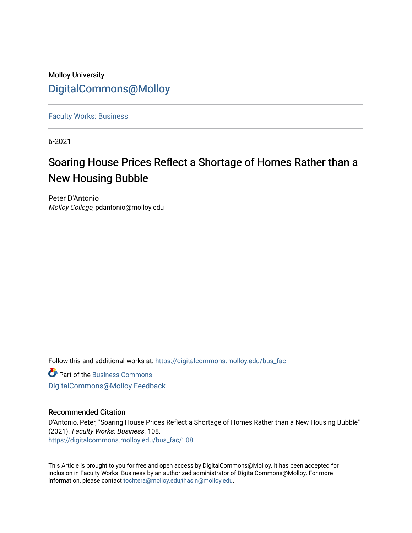## Molloy University [DigitalCommons@Molloy](https://digitalcommons.molloy.edu/)

[Faculty Works: Business](https://digitalcommons.molloy.edu/bus_fac) 

6-2021

# Soaring House Prices Reflect a Shortage of Homes Rather than a New Housing Bubble

Peter D'Antonio Molloy College, pdantonio@molloy.edu

Follow this and additional works at: [https://digitalcommons.molloy.edu/bus\\_fac](https://digitalcommons.molloy.edu/bus_fac?utm_source=digitalcommons.molloy.edu%2Fbus_fac%2F108&utm_medium=PDF&utm_campaign=PDFCoverPages)

**C** Part of the [Business Commons](https://network.bepress.com/hgg/discipline/622?utm_source=digitalcommons.molloy.edu%2Fbus_fac%2F108&utm_medium=PDF&utm_campaign=PDFCoverPages) [DigitalCommons@Molloy Feedback](https://molloy.libwizard.com/f/dcfeedback)

#### Recommended Citation

D'Antonio, Peter, "Soaring House Prices Reflect a Shortage of Homes Rather than a New Housing Bubble" (2021). Faculty Works: Business. 108. [https://digitalcommons.molloy.edu/bus\\_fac/108](https://digitalcommons.molloy.edu/bus_fac/108?utm_source=digitalcommons.molloy.edu%2Fbus_fac%2F108&utm_medium=PDF&utm_campaign=PDFCoverPages)

This Article is brought to you for free and open access by DigitalCommons@Molloy. It has been accepted for inclusion in Faculty Works: Business by an authorized administrator of DigitalCommons@Molloy. For more information, please contact [tochtera@molloy.edu,thasin@molloy.edu.](mailto:tochtera@molloy.edu,thasin@molloy.edu)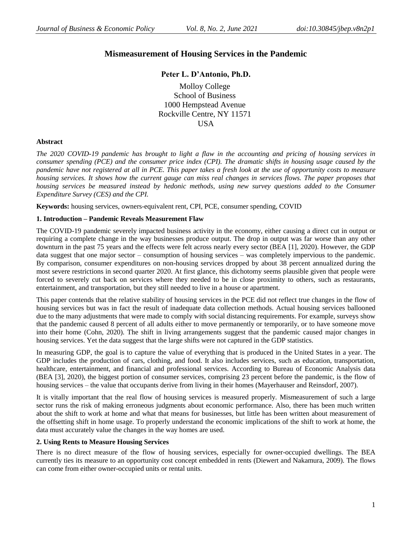### **Mismeasurement of Housing Services in the Pandemic**

#### **Peter L. D'Antonio, Ph.D.**

Molloy College School of Business 1000 Hempstead Avenue Rockville Centre, NY 11571 **USA** 

#### **Abstract**

*The 2020 COVID-19 pandemic has brought to light a flaw in the accounting and pricing of housing services in consumer spending (PCE) and the consumer price index (CPI). The dramatic shifts in housing usage caused by the pandemic have not registered at all in PCE. This paper takes a fresh look at the use of opportunity costs to measure housing services. It shows how the current gauge can miss real changes in services flows. The paper proposes that housing services be measured instead by hedonic methods, using new survey questions added to the Consumer Expenditure Survey (CES) and the CPI.*

**Keywords:** housing services, owners-equivalent rent, CPI, PCE, consumer spending, COVID

#### **1. Introduction – Pandemic Reveals Measurement Flaw**

The COVID-19 pandemic severely impacted business activity in the economy, either causing a direct cut in output or requiring a complete change in the way businesses produce output. The drop in output was far worse than any other downturn in the past 75 years and the effects were felt across nearly every sector (BEA [1], 2020). However, the GDP data suggest that one major sector – consumption of housing services – was completely impervious to the pandemic. By comparison, consumer expenditures on non-housing services dropped by about 38 percent annualized during the most severe restrictions in second quarter 2020. At first glance, this dichotomy seems plausible given that people were forced to severely cut back on services where they needed to be in close proximity to others, such as restaurants, entertainment, and transportation, but they still needed to live in a house or apartment.

This paper contends that the relative stability of housing services in the PCE did not reflect true changes in the flow of housing services but was in fact the result of inadequate data collection methods. Actual housing services ballooned due to the many adjustments that were made to comply with social distancing requirements. For example, surveys show that the pandemic caused 8 percent of all adults either to move permanently or temporarily, or to have someone move into their home (Cohn, 2020). The shift in living arrangements suggest that the pandemic caused major changes in housing services. Yet the data suggest that the large shifts were not captured in the GDP statistics.

In measuring GDP, the goal is to capture the value of everything that is produced in the United States in a year. The GDP includes the production of cars, clothing, and food. It also includes services, such as education, transportation, healthcare, entertainment, and financial and professional services. According to Bureau of Economic Analysis data (BEA [3], 2020), the biggest portion of consumer services, comprising 23 percent before the pandemic, is the flow of housing services – the value that occupants derive from living in their homes (Mayerhauser and Reinsdorf, 2007).

It is vitally important that the real flow of housing services is measured properly. Mismeasurement of such a large sector runs the risk of making erroneous judgments about economic performance. Also, there has been much written about the shift to work at home and what that means for businesses, but little has been written about measurement of the offsetting shift in home usage. To properly understand the economic implications of the shift to work at home, the data must accurately value the changes in the way homes are used.

#### **2. Using Rents to Measure Housing Services**

There is no direct measure of the flow of housing services, especially for owner-occupied dwellings. The BEA currently ties its measure to an opportunity cost concept embedded in rents (Diewert and Nakamura, 2009). The flows can come from either owner-occupied units or rental units.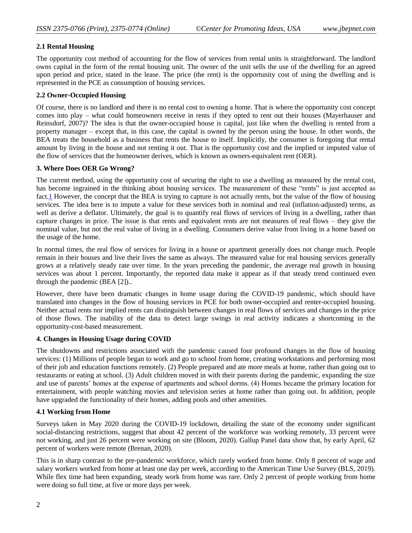#### **2.1 Rental Housing**

The opportunity cost method of accounting for the flow of services from rental units is straightforward. The landlord owns capital in the form of the rental housing unit. The owner of the unit sells the use of the dwelling for an agreed upon period and price, stated in the lease. The price (the rent) is the opportunity cost of using the dwelling and is represented in the PCE as consumption of housing services.

#### **2.2 Owner-Occupied Housing**

Of course, there is no landlord and there is no rental cost to owning a home. That is where the opportunity cost concept comes into play – what could homeowners receive in rents if they opted to rent out their houses (Mayerhauser and Reinsdorf, 2007)? The idea is that the owner-occupied house is capital, just like when the dwelling is rented from a property manager – except that, in this case, the capital is owned by the person using the house. In other words, the BEA treats the household as a business that rents the house to itself. Implicitly, the consumer is foregoing that rental amount by living in the house and not renting it out. That is the opportunity cost and the implied or imputed value of the flow of services that the homeowner derives, which is known as owners-equivalent rent (OER).

#### **3. Where Does OER Go Wrong?**

The current method, using the opportunity cost of securing the right to use a dwelling as measured by the rental cost, has become ingrained in the thinking about housing services. The measurement of these "rents" is just accepted as fact.<sup>1</sup> However, the concept that the BEA is trying to capture is not actually rents, but the value of the flow of housing services. The idea here is to impute a value for these services both in nominal and real (inflation-adjusted) terms, as well as derive a deflator. Ultimately, the goal is to quantify real flows of services of living in a dwelling, rather than capture changes in price. The issue is that rents and equivalent rents are not measures of real flows – they give the nominal value, but not the real value of living in a dwelling. Consumers derive value from living in a home based on the usage of the home.

In normal times, the real flow of services for living in a house or apartment generally does not change much. People remain in their houses and live their lives the same as always. The measured value for real housing services generally grows at a relatively steady rate over time. In the years preceding the pandemic, the average real growth in housing services was about 1 percent. Importantly, the reported data make it appear as if that steady trend continued even through the pandemic (BEA [2])..

However, there have been dramatic changes in home usage during the COVID-19 pandemic, which should have translated into changes in the flow of housing services in PCE for both owner-occupied and renter-occupied housing. Neither actual rents nor implied rents can distinguish between changes in real flows of services and changes in the price of those flows. The inability of the data to detect large swings in real activity indicates a shortcoming in the opportunity-cost-based measurement.

#### **4. Changes in Housing Usage during COVID**

The shutdowns and restrictions associated with the pandemic caused four profound changes in the flow of housing services: (1) Millions of people began to work and go to school from home, creating workstations and performing most of their job and education functions remotely. (2) People prepared and ate more meals at home, rather than going out to restaurants or eating at school. (3) Adult children moved in with their parents during the pandemic, expanding the size and use of parents' homes at the expense of apartments and school dorms. (4) Homes became the primary location for entertainment, with people watching movies and television series at home rather than going out. In addition, people have upgraded the functionality of their homes, adding pools and other amenities.

#### **4.1 Working from Home**

Surveys taken in May 2020 during the COVID-19 lockdown, detailing the state of the economy under significant social-distancing restrictions, suggest that about 42 percent of the workforce was working remotely, 33 percent were not working, and just 26 percent were working on site (Bloom, 2020). Gallup Panel data show that, by early April, 62 percent of workers were remote (Brenan, 2020).

This is in sharp contrast to the pre-pandemic workforce, which rarely worked from home. Only 8 percent of wage and salary workers worked from home at least one day per week, according to the American Time Use Survey (BLS, 2019). While flex time had been expanding, steady work from home was rare. Only 2 percent of people working from home were doing so full time, at five or more days per week.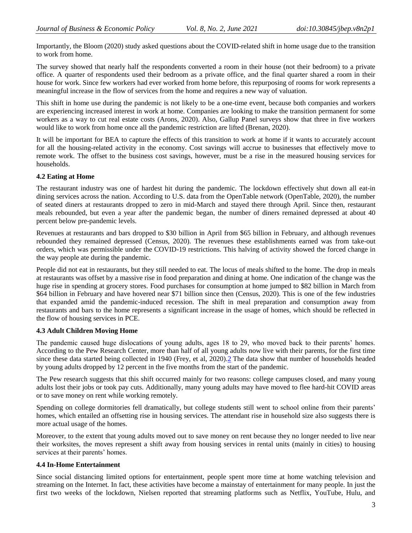Importantly, the Bloom (2020) study asked questions about the COVID-related shift in home usage due to the transition to work from home.

The survey showed that nearly half the respondents converted a room in their house (not their bedroom) to a private office. A quarter of respondents used their bedroom as a private office, and the final quarter shared a room in their house for work. Since few workers had ever worked from home before, this repurposing of rooms for work represents a meaningful increase in the flow of services from the home and requires a new way of valuation.

This shift in home use during the pandemic is not likely to be a one-time event, because both companies and workers are experiencing increased interest in work at home. Companies are looking to make the transition permanent for some workers as a way to cut real estate costs (Arons, 2020). Also, Gallup Panel surveys show that three in five workers would like to work from home once all the pandemic restriction are lifted (Brenan, 2020).

It will be important for BEA to capture the effects of this transition to work at home if it wants to accurately account for all the housing-related activity in the economy. Cost savings will accrue to businesses that effectively move to remote work. The offset to the business cost savings, however, must be a rise in the measured housing services for households.

#### **4.2 Eating at Home**

The restaurant industry was one of hardest hit during the pandemic. The lockdown effectively shut down all eat-in dining services across the nation. According to U.S. data from the OpenTable network (OpenTable, 2020), the number of seated diners at restaurants dropped to zero in mid-March and stayed there through April. Since then, restaurant meals rebounded, but even a year after the pandemic began, the number of diners remained depressed at about 40 percent below pre-pandemic levels.

Revenues at restaurants and bars dropped to \$30 billion in April from \$65 billion in February, and although revenues rebounded they remained depressed (Census, 2020). The revenues these establishments earned was from take-out orders, which was permissible under the COVID-19 restrictions. This halving of activity showed the forced change in the way people ate during the pandemic.

People did not eat in restaurants, but they still needed to eat. The locus of meals shifted to the home. The drop in meals at restaurants was offset by a massive rise in food preparation and dining at home. One indication of the change was the huge rise in spending at grocery stores. Food purchases for consumption at home jumped to \$82 billion in March from \$64 billion in February and have hovered near \$71 billion since then (Census, 2020). This is one of the few industries that expanded amid the pandemic-induced recession. The shift in meal preparation and consumption away from restaurants and bars to the home represents a significant increase in the usage of homes, which should be reflected in the flow of housing services in PCE.

#### **4.3 Adult Children Moving Home**

The pandemic caused huge dislocations of young adults, ages 18 to 29, who moved back to their parents' homes. According to the Pew Research Center, more than half of all young adults now live with their parents, for the first time since these data started being collected in 1940 (Frey, et al, 2020)[.2](https://mail-attachment.googleusercontent.com/attachment/u/0/?view=att&th=177dfdbfa5f1a680&attid=0.1&disp=vah&safe=1&zw&saddbat=ANGjdJ_hubAXoKCzjLsA6YGEWjndqe9XG9sfW-k3K8mN1fY9OOpEW0PEV6hr-mfjb7Qg7L8gCQ9F6h-FdesueNp6FNke6V-TTNiYhRnPZaX0JaHGc1EjYm3h-Y1QDQpV7b3NliMGHYrhU-cVjAJeceswXFGC-5j9fVZiUNf-_A9jG0qL6CLc5nO46YLT652DfFfDEz5neCu65JCZM-LmARvwAQ2WmgafU9690KlD4X5bEuQJ2O3ZvsjWTJRhkddLdLG4rlGgN5rjWToKd2zaKgoMzeqE2OeQxD8TpDBbpOtRtVIhFRe2h1oR831FXeVD6Hb4_kpDXZhzzFhR-nOQ0SsOJs7HSTK1c0k4lx-RDbpM7TdK7b5m4fXlXSNaokN8BH1LIqORhTXZ_WCNrOIvxWoSdNnvzpFzThizyQI25nLXWzFGot3POxoHeuEg2ct87Dwwc7heHeVb6jzGa-SFwwPI4xxCuz-y8IiveJqwSVBnOaN_JpTsslgt97GkhSKuVcG2u_626RTcV75pb1UbCx_pieF8JY0SQn9EKxowj5rGBkzrx_X55JpcJshwdZ2y4rEuIHGRcSsq8l5e9LnpvqkqYfYOheAOmwJagrwKvNiyeNVtdsFCPR4Xlt_VlDjsgyw22eoa0qLxvXqD6RX6EcknPrb-vJbXINWEfsHedrWySBPqgaoSg_CB8bY6wg8#0.1_footnote2) The data show that number of households headed by young adults dropped by 12 percent in the five months from the start of the pandemic.

The Pew research suggests that this shift occurred mainly for two reasons: college campuses closed, and many young adults lost their jobs or took pay cuts. Additionally, many young adults may have moved to flee hard-hit COVID areas or to save money on rent while working remotely.

Spending on college dormitories fell dramatically, but college students still went to school online from their parents' homes, which entailed an offsetting rise in housing services. The attendant rise in household size also suggests there is more actual usage of the homes.

Moreover, to the extent that young adults moved out to save money on rent because they no longer needed to live near their worksites, the moves represent a shift away from housing services in rental units (mainly in cities) to housing services at their parents' homes.

#### **4.4 In-Home Entertainment**

Since social distancing limited options for entertainment, people spent more time at home watching television and streaming on the Internet. In fact, these activities have become a mainstay of entertainment for many people. In just the first two weeks of the lockdown, Nielsen reported that streaming platforms such as Netflix, YouTube, Hulu, and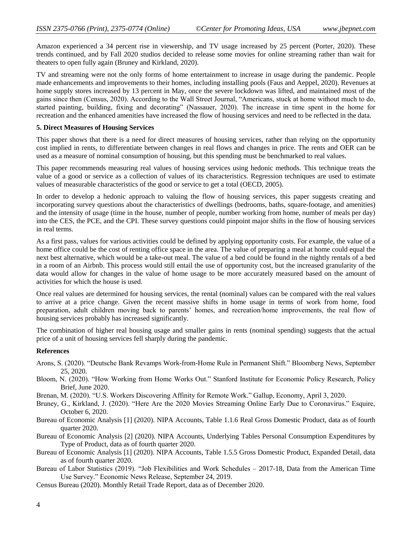Amazon experienced a 34 percent rise in viewership, and TV usage increased by 25 percent (Porter, 2020). These trends continued, and by Fall 2020 studios decided to release some movies for online streaming rather than wait for theaters to open fully again (Bruney and Kirkland, 2020).

TV and streaming were not the only forms of home entertainment to increase in usage during the pandemic. People made enhancements and improvements to their homes, including installing pools (Faus and Aeppel, 2020). Revenues at home supply stores increased by 13 percent in May, once the severe lockdown was lifted, and maintained most of the gains since then (Census, 2020). According to the Wall Street Journal, "Americans, stuck at home without much to do, started painting, building, fixing and decorating" (Nassauer, 2020). The increase in time spent in the home for recreation and the enhanced amenities have increased the flow of housing services and need to be reflected in the data.

#### **5. Direct Measures of Housing Services**

This paper shows that there is a need for direct measures of housing services, rather than relying on the opportunity cost implied in rents, to differentiate between changes in real flows and changes in price. The rents and OER can be used as a measure of nominal consumption of housing, but this spending must be benchmarked to real values.

This paper recommends measuring real values of housing services using hedonic methods. This technique treats the value of a good or service as a collection of values of its characteristics. Regression techniques are used to estimate values of measurable characteristics of the good or service to get a total (OECD, 2005).

In order to develop a hedonic approach to valuing the flow of housing services, this paper suggests creating and incorporating survey questions about the characteristics of dwellings (bedrooms, baths, square-footage, and amenities) and the intensity of usage (time in the house, number of people, number working from home, number of meals per day) into the CES, the PCE, and the CPI. These survey questions could pinpoint major shifts in the flow of housing services in real terms.

As a first pass, values for various activities could be defined by applying opportunity costs. For example, the value of a home office could be the cost of renting office space in the area. The value of preparing a meal at home could equal the next best alternative, which would be a take-out meal. The value of a bed could be found in the nightly rentals of a bed in a room of an Airbnb. This process would still entail the use of opportunity cost, but the increased granularity of the data would allow for changes in the value of home usage to be more accurately measured based on the amount of activities for which the house is used.

Once real values are determined for housing services, the rental (nominal) values can be compared with the real values to arrive at a price change. Given the recent massive shifts in home usage in terms of work from home, food preparation, adult children moving back to parents' homes, and recreation/home improvements, the real flow of housing services probably has increased significantly.

The combination of higher real housing usage and smaller gains in rents (nominal spending) suggests that the actual price of a unit of housing services fell sharply during the pandemic.

#### **References**

- Arons, S. (2020). "Deutsche Bank Revamps Work-from-Home Rule in Permanent Shift." Bloomberg News, September 25, 2020.
- Bloom, N. (2020). "How Working from Home Works Out." Stanford Institute for Economic Policy Research, Policy Brief, June 2020.
- Brenan, M. (2020). "U.S. Workers Discovering Affinity for Remote Work." Gallup, Economy, April 3, 2020.
- Bruney, G., Kirkland, J. (2020). "Here Are the 2020 Movies Streaming Online Early Due to Coronavirus." Esquire, October 6, 2020.
- Bureau of Economic Analysis [1] (2020). NIPA Accounts, Table 1.1.6 Real Gross Domestic Product, data as of fourth quarter 2020.
- Bureau of Economic Analysis [2] (2020). NIPA Accounts, Underlying Tables Personal Consumption Expenditures by Type of Product, data as of fourth quarter 2020.
- Bureau of Economic Analysis [1] (2020). NIPA Accounts, Table 1.5.5 Gross Domestic Product, Expanded Detail, data as of fourth quarter 2020.
- Bureau of Labor Statistics (2019). "Job Flexibilities and Work Schedules 2017-18, Data from the American Time Use Survey." Economic News Release, September 24, 2019.
- Census Bureau (2020). Monthly Retail Trade Report, data as of December 2020.